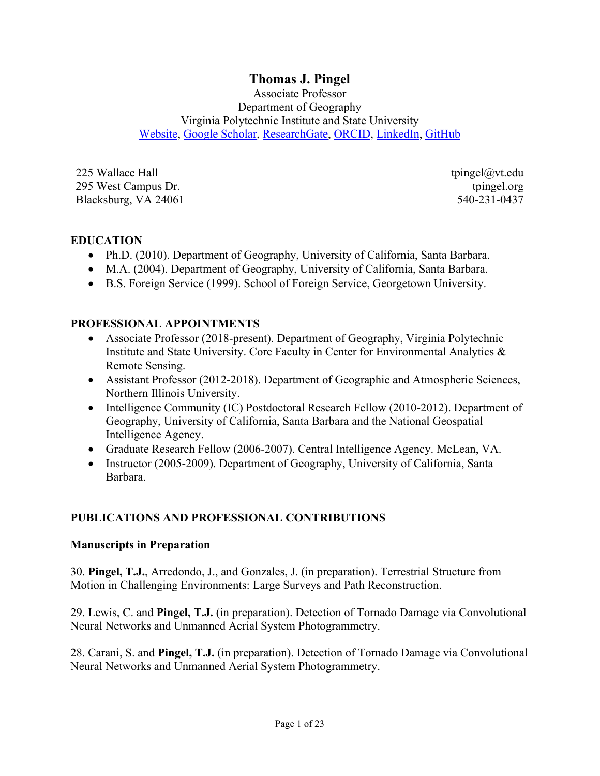# **Thomas J. Pingel**

Associate Professor Department of Geography Virginia Polytechnic Institute and State University Website, Google Scholar, ResearchGate, ORCID, LinkedIn, GitHub

225 Wallace Hall 295 West Campus Dr. Blacksburg, VA 24061 tpingel@vt.edu tpingel.org 540-231-0437

#### **EDUCATION**

- Ph.D. (2010). Department of Geography, University of California, Santa Barbara.
- M.A. (2004). Department of Geography, University of California, Santa Barbara.
- B.S. Foreign Service (1999). School of Foreign Service, Georgetown University.

#### **PROFESSIONAL APPOINTMENTS**

- Associate Professor (2018-present). Department of Geography, Virginia Polytechnic Institute and State University. Core Faculty in Center for Environmental Analytics & Remote Sensing.
- Assistant Professor (2012-2018). Department of Geographic and Atmospheric Sciences, Northern Illinois University.
- Intelligence Community (IC) Postdoctoral Research Fellow (2010-2012). Department of Geography, University of California, Santa Barbara and the National Geospatial Intelligence Agency.
- Graduate Research Fellow (2006-2007). Central Intelligence Agency. McLean, VA.
- Instructor (2005-2009). Department of Geography, University of California, Santa Barbara.

#### **PUBLICATIONS AND PROFESSIONAL CONTRIBUTIONS**

#### **Manuscripts in Preparation**

30. **Pingel, T.J.**, Arredondo, J., and Gonzales, J. (in preparation). Terrestrial Structure from Motion in Challenging Environments: Large Surveys and Path Reconstruction.

29. Lewis, C. and **Pingel, T.J.** (in preparation). Detection of Tornado Damage via Convolutional Neural Networks and Unmanned Aerial System Photogrammetry.

28. Carani, S. and **Pingel, T.J.** (in preparation). Detection of Tornado Damage via Convolutional Neural Networks and Unmanned Aerial System Photogrammetry.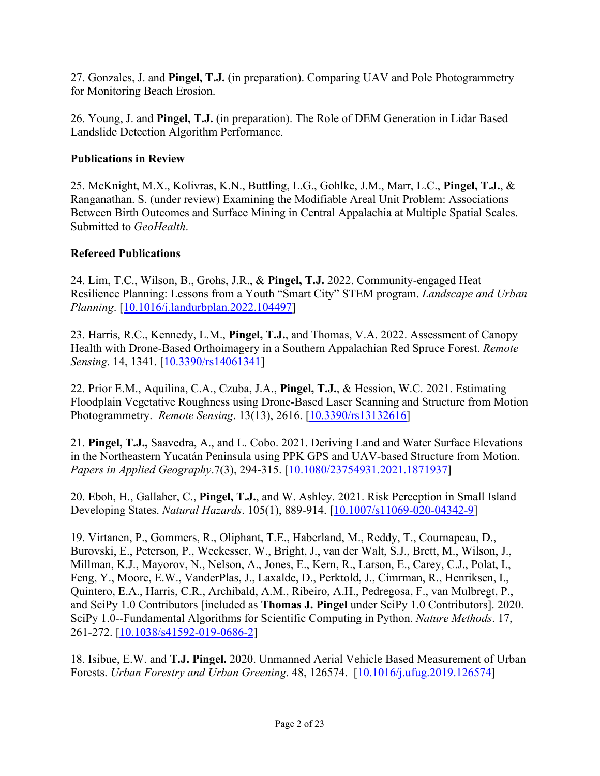27. Gonzales, J. and **Pingel, T.J.** (in preparation). Comparing UAV and Pole Photogrammetry for Monitoring Beach Erosion.

26. Young, J. and **Pingel, T.J.** (in preparation). The Role of DEM Generation in Lidar Based Landslide Detection Algorithm Performance.

## **Publications in Review**

25. McKnight, M.X., Kolivras, K.N., Buttling, L.G., Gohlke, J.M., Marr, L.C., **Pingel, T.J.**, & Ranganathan. S. (under review) Examining the Modifiable Areal Unit Problem: Associations Between Birth Outcomes and Surface Mining in Central Appalachia at Multiple Spatial Scales. Submitted to *GeoHealth*.

#### **Refereed Publications**

24. Lim, T.C., Wilson, B., Grohs, J.R., & **Pingel, T.J.** 2022. Community-engaged Heat Resilience Planning: Lessons from a Youth "Smart City" STEM program. *Landscape and Urban Planning*. [10.1016/j.landurbplan.2022.104497]

23. Harris, R.C., Kennedy, L.M., **Pingel, T.J.**, and Thomas, V.A. 2022. Assessment of Canopy Health with Drone-Based Orthoimagery in a Southern Appalachian Red Spruce Forest. *Remote Sensing*. 14, 1341. [10.3390/rs14061341]

22. Prior E.M., Aquilina, C.A., Czuba, J.A., **Pingel, T.J.**, & Hession, W.C. 2021. Estimating Floodplain Vegetative Roughness using Drone-Based Laser Scanning and Structure from Motion Photogrammetry. *Remote Sensing*. 13(13), 2616. [10.3390/rs13132616]

21. **Pingel, T.J.,** Saavedra, A., and L. Cobo. 2021. Deriving Land and Water Surface Elevations in the Northeastern Yucatán Peninsula using PPK GPS and UAV-based Structure from Motion. *Papers in Applied Geography*.7(3), 294-315. [10.1080/23754931.2021.1871937]

20. Eboh, H., Gallaher, C., **Pingel, T.J.**, and W. Ashley. 2021. Risk Perception in Small Island Developing States. *Natural Hazards*. 105(1), 889-914. [10.1007/s11069-020-04342-9]

19. Virtanen, P., Gommers, R., Oliphant, T.E., Haberland, M., Reddy, T., Cournapeau, D., Burovski, E., Peterson, P., Weckesser, W., Bright, J., van der Walt, S.J., Brett, M., Wilson, J., Millman, K.J., Mayorov, N., Nelson, A., Jones, E., Kern, R., Larson, E., Carey, C.J., Polat, I., Feng, Y., Moore, E.W., VanderPlas, J., Laxalde, D., Perktold, J., Cimrman, R., Henriksen, I., Quintero, E.A., Harris, C.R., Archibald, A.M., Ribeiro, A.H., Pedregosa, F., van Mulbregt, P., and SciPy 1.0 Contributors [included as **Thomas J. Pingel** under SciPy 1.0 Contributors]. 2020. SciPy 1.0--Fundamental Algorithms for Scientific Computing in Python. *Nature Methods*. 17, 261-272. [10.1038/s41592-019-0686-2]

18. Isibue, E.W. and **T.J. Pingel.** 2020. Unmanned Aerial Vehicle Based Measurement of Urban Forests. *Urban Forestry and Urban Greening*. 48, 126574. [10.1016/j.ufug.2019.126574]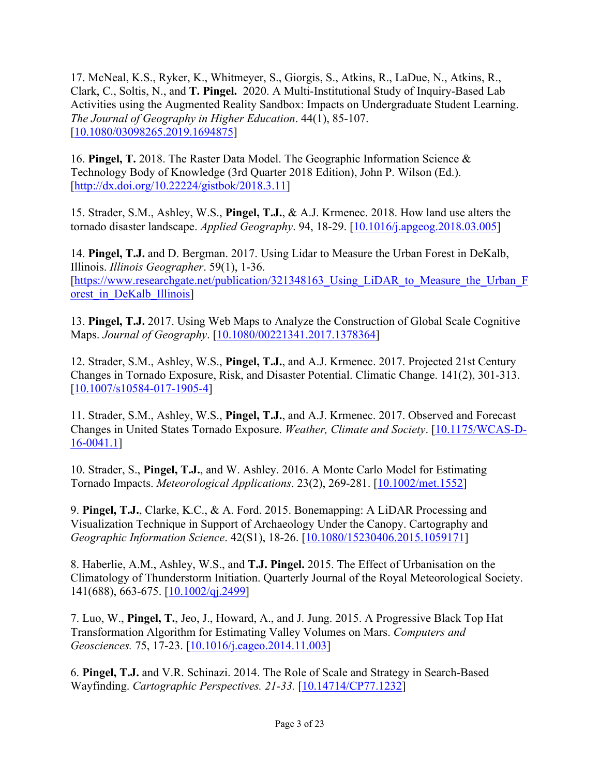17. McNeal, K.S., Ryker, K., Whitmeyer, S., Giorgis, S., Atkins, R., LaDue, N., Atkins, R., Clark, C., Soltis, N., and **T. Pingel.** 2020. A Multi-Institutional Study of Inquiry-Based Lab Activities using the Augmented Reality Sandbox: Impacts on Undergraduate Student Learning. *The Journal of Geography in Higher Education*. 44(1), 85-107. [10.1080/03098265.2019.1694875]

16. **Pingel, T.** 2018. The Raster Data Model. The Geographic Information Science & Technology Body of Knowledge (3rd Quarter 2018 Edition), John P. Wilson (Ed.). [http://dx.doi.org/10.22224/gistbok/2018.3.11]

15. Strader, S.M., Ashley, W.S., **Pingel, T.J.**, & A.J. Krmenec. 2018. How land use alters the tornado disaster landscape. *Applied Geography*. 94, 18-29. [10.1016/j.apgeog.2018.03.005]

14. **Pingel, T.J.** and D. Bergman. 2017. Using Lidar to Measure the Urban Forest in DeKalb, Illinois. *Illinois Geographer*. 59(1), 1-36. [https://www.researchgate.net/publication/321348163 Using LiDAR to Measure the Urban F orest in DeKalb Illinois]

13. **Pingel, T.J.** 2017. Using Web Maps to Analyze the Construction of Global Scale Cognitive Maps. *Journal of Geography*. [10.1080/00221341.2017.1378364]

12. Strader, S.M., Ashley, W.S., **Pingel, T.J.**, and A.J. Krmenec. 2017. Projected 21st Century Changes in Tornado Exposure, Risk, and Disaster Potential. Climatic Change. 141(2), 301-313. [10.1007/s10584-017-1905-4]

11. Strader, S.M., Ashley, W.S., **Pingel, T.J.**, and A.J. Krmenec. 2017. Observed and Forecast Changes in United States Tornado Exposure. *Weather, Climate and Society*. [10.1175/WCAS-D-16-0041.1]

10. Strader, S., **Pingel, T.J.**, and W. Ashley. 2016. A Monte Carlo Model for Estimating Tornado Impacts. *Meteorological Applications*. 23(2), 269-281. [10.1002/met.1552]

9. **Pingel, T.J.**, Clarke, K.C., & A. Ford. 2015. Bonemapping: A LiDAR Processing and Visualization Technique in Support of Archaeology Under the Canopy. Cartography and *Geographic Information Science*. 42(S1), 18-26. [10.1080/15230406.2015.1059171]

8. Haberlie, A.M., Ashley, W.S., and **T.J. Pingel.** 2015. The Effect of Urbanisation on the Climatology of Thunderstorm Initiation. Quarterly Journal of the Royal Meteorological Society. 141(688), 663-675. [10.1002/qj.2499]

7. Luo, W., **Pingel, T.**, Jeo, J., Howard, A., and J. Jung. 2015. A Progressive Black Top Hat Transformation Algorithm for Estimating Valley Volumes on Mars. *Computers and Geosciences.* 75, 17-23. [10.1016/j.cageo.2014.11.003]

6. **Pingel, T.J.** and V.R. Schinazi. 2014. The Role of Scale and Strategy in Search-Based Wayfinding. *Cartographic Perspectives. 21-33.* [10.14714/CP77.1232]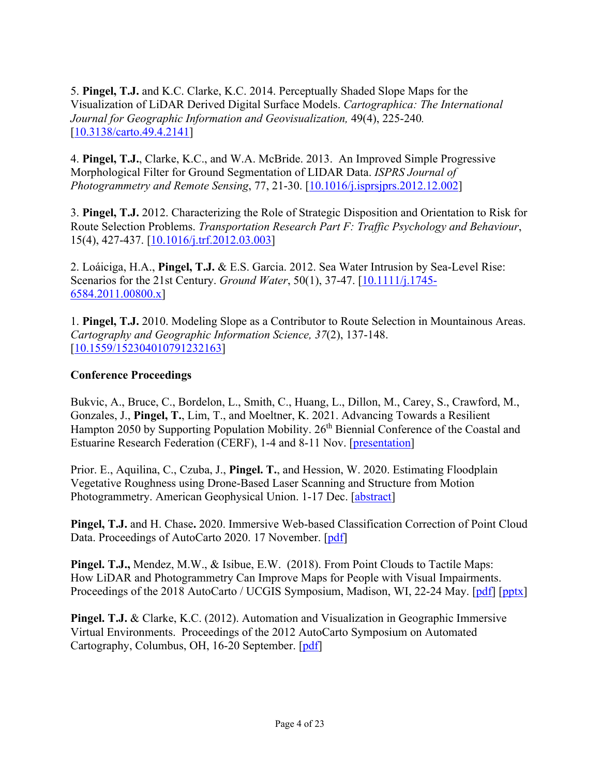5. **Pingel, T.J.** and K.C. Clarke, K.C. 2014. Perceptually Shaded Slope Maps for the Visualization of LiDAR Derived Digital Surface Models. *Cartographica: The International Journal for Geographic Information and Geovisualization,* 49(4), 225-240*.* [10.3138/carto.49.4.2141]

4. **Pingel, T.J.**, Clarke, K.C., and W.A. McBride. 2013. An Improved Simple Progressive Morphological Filter for Ground Segmentation of LIDAR Data. *ISPRS Journal of Photogrammetry and Remote Sensing*, 77, 21-30. [10.1016/j.isprsjprs.2012.12.002]

3. **Pingel, T.J.** 2012. Characterizing the Role of Strategic Disposition and Orientation to Risk for Route Selection Problems. *Transportation Research Part F: Traffic Psychology and Behaviour*, 15(4), 427-437. [10.1016/j.trf.2012.03.003]

2. Loáiciga, H.A., **Pingel, T.J.** & E.S. Garcia. 2012. Sea Water Intrusion by Sea-Level Rise: Scenarios for the 21st Century. *Ground Water*, 50(1), 37-47. [10.1111/j.1745- 6584.2011.00800.x]

1. **Pingel, T.J.** 2010. Modeling Slope as a Contributor to Route Selection in Mountainous Areas. *Cartography and Geographic Information Science, 37*(2), 137-148. [10.1559/152304010791232163]

## **Conference Proceedings**

Bukvic, A., Bruce, C., Bordelon, L., Smith, C., Huang, L., Dillon, M., Carey, S., Crawford, M., Gonzales, J., **Pingel, T.**, Lim, T., and Moeltner, K. 2021. Advancing Towards a Resilient Hampton 2050 by Supporting Population Mobility. 26<sup>th</sup> Biennial Conference of the Coastal and Estuarine Research Federation (CERF), 1-4 and 8-11 Nov. [presentation]

Prior. E., Aquilina, C., Czuba, J., **Pingel. T.**, and Hession, W. 2020. Estimating Floodplain Vegetative Roughness using Drone-Based Laser Scanning and Structure from Motion Photogrammetry. American Geophysical Union. 1-17 Dec. [abstract]

**Pingel, T.J.** and H. Chase**.** 2020. Immersive Web-based Classification Correction of Point Cloud Data. Proceedings of AutoCarto 2020. 17 November. [pdf]

**Pingel. T.J.,** Mendez, M.W., & Isibue, E.W. (2018). From Point Clouds to Tactile Maps: How LiDAR and Photogrammetry Can Improve Maps for People with Visual Impairments. Proceedings of the 2018 AutoCarto / UCGIS Symposium, Madison, WI, 22-24 May. [pdf] [pptx]

**Pingel. T.J.** & Clarke, K.C. (2012). Automation and Visualization in Geographic Immersive Virtual Environments. Proceedings of the 2012 AutoCarto Symposium on Automated Cartography, Columbus, OH, 16-20 September. [pdf]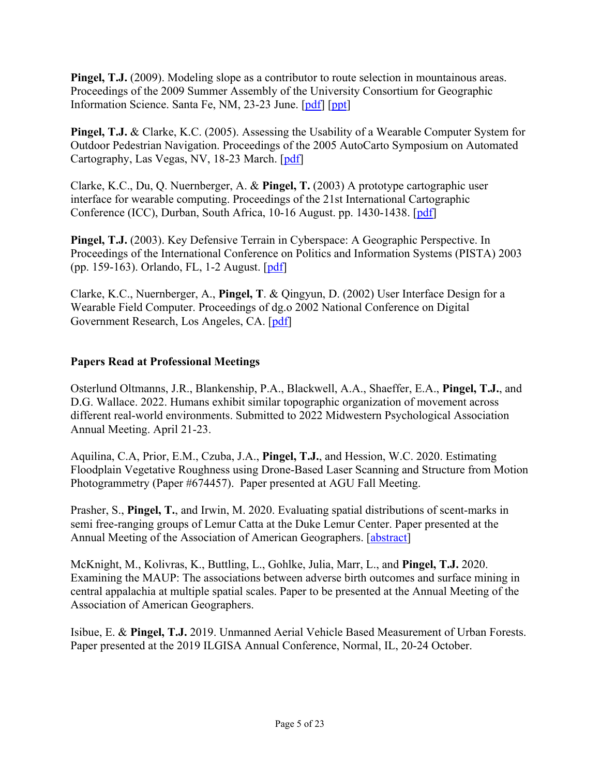**Pingel, T.J.** (2009). Modeling slope as a contributor to route selection in mountainous areas. Proceedings of the 2009 Summer Assembly of the University Consortium for Geographic Information Science. Santa Fe, NM, 23-23 June. [pdf] [ppt]

**Pingel, T.J.** & Clarke, K.C. (2005). Assessing the Usability of a Wearable Computer System for Outdoor Pedestrian Navigation. Proceedings of the 2005 AutoCarto Symposium on Automated Cartography, Las Vegas, NV, 18-23 March. [pdf]

Clarke, K.C., Du, Q. Nuernberger, A. & **Pingel, T.** (2003) A prototype cartographic user interface for wearable computing. Proceedings of the 21st International Cartographic Conference (ICC), Durban, South Africa, 10-16 August. pp. 1430-1438. [pdf]

**Pingel, T.J.** (2003). Key Defensive Terrain in Cyberspace: A Geographic Perspective. In Proceedings of the International Conference on Politics and Information Systems (PISTA) 2003 (pp. 159-163). Orlando, FL, 1-2 August. [pdf]

Clarke, K.C., Nuernberger, A., **Pingel, T**. & Qingyun, D. (2002) User Interface Design for a Wearable Field Computer. Proceedings of dg.o 2002 National Conference on Digital Government Research, Los Angeles, CA. [pdf]

#### **Papers Read at Professional Meetings**

Osterlund Oltmanns, J.R., Blankenship, P.A., Blackwell, A.A., Shaeffer, E.A., **Pingel, T.J.**, and D.G. Wallace. 2022. Humans exhibit similar topographic organization of movement across different real-world environments. Submitted to 2022 Midwestern Psychological Association Annual Meeting. April 21-23.

Aquilina, C.A, Prior, E.M., Czuba, J.A., **Pingel, T.J.**, and Hession, W.C. 2020. Estimating Floodplain Vegetative Roughness using Drone-Based Laser Scanning and Structure from Motion Photogrammetry (Paper #674457). Paper presented at AGU Fall Meeting.

Prasher, S., **Pingel, T.**, and Irwin, M. 2020. Evaluating spatial distributions of scent-marks in semi free-ranging groups of Lemur Catta at the Duke Lemur Center. Paper presented at the Annual Meeting of the Association of American Geographers. [abstract]

McKnight, M., Kolivras, K., Buttling, L., Gohlke, Julia, Marr, L., and **Pingel, T.J.** 2020. Examining the MAUP: The associations between adverse birth outcomes and surface mining in central appalachia at multiple spatial scales. Paper to be presented at the Annual Meeting of the Association of American Geographers.

Isibue, E. & **Pingel, T.J.** 2019. Unmanned Aerial Vehicle Based Measurement of Urban Forests. Paper presented at the 2019 ILGISA Annual Conference, Normal, IL, 20-24 October.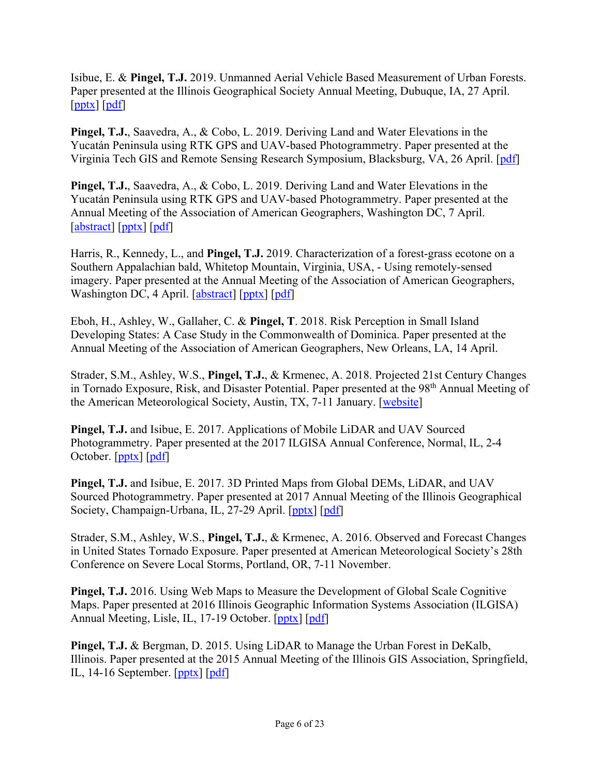Isibue, E. & **Pingel, T.J.** 2019. Unmanned Aerial Vehicle Based Measurement of Urban Forests. Paper presented at the Illinois Geographical Society Annual Meeting, Dubuque, IA, 27 April. [pptx] [pdf]

**Pingel, T.J.**, Saavedra, A., & Cobo, L. 2019. Deriving Land and Water Elevations in the Yucatán Peninsula using RTK GPS and UAV-based Photogrammetry. Paper presented at the Virginia Tech GIS and Remote Sensing Research Symposium, Blacksburg, VA, 26 April. [pdf]

**Pingel, T.J.**, Saavedra, A., & Cobo, L. 2019. Deriving Land and Water Elevations in the Yucatán Peninsula using RTK GPS and UAV-based Photogrammetry. Paper presented at the Annual Meeting of the Association of American Geographers, Washington DC, 7 April. [abstract] [pptx] [pdf]

Harris, R., Kennedy, L., and **Pingel, T.J.** 2019. Characterization of a forest-grass ecotone on a Southern Appalachian bald, Whitetop Mountain, Virginia, USA, - Using remotely-sensed imagery. Paper presented at the Annual Meeting of the Association of American Geographers, Washington DC, 4 April. [abstract] [pptx] [pdf]

Eboh, H., Ashley, W., Gallaher, C. & **Pingel, T**. 2018. Risk Perception in Small Island Developing States: A Case Study in the Commonwealth of Dominica. Paper presented at the Annual Meeting of the Association of American Geographers, New Orleans, LA, 14 April.

Strader, S.M., Ashley, W.S., **Pingel, T.J.**, & Krmenec, A. 2018. Projected 21st Century Changes in Tornado Exposure, Risk, and Disaster Potential. Paper presented at the 98<sup>th</sup> Annual Meeting of the American Meteorological Society, Austin, TX, 7-11 January. [website]

**Pingel, T.J.** and Isibue, E. 2017. Applications of Mobile LiDAR and UAV Sourced Photogrammetry. Paper presented at the 2017 ILGISA Annual Conference, Normal, IL, 2-4 October. [pptx] [pdf]

**Pingel, T.J.** and Isibue, E. 2017. 3D Printed Maps from Global DEMs, LiDAR, and UAV Sourced Photogrammetry. Paper presented at 2017 Annual Meeting of the Illinois Geographical Society, Champaign-Urbana, IL, 27-29 April. [pptx] [pdf]

Strader, S.M., Ashley, W.S., **Pingel, T.J.**, & Krmenec, A. 2016. Observed and Forecast Changes in United States Tornado Exposure. Paper presented at American Meteorological Society's 28th Conference on Severe Local Storms, Portland, OR, 7-11 November.

**Pingel, T.J.** 2016. Using Web Maps to Measure the Development of Global Scale Cognitive Maps. Paper presented at 2016 Illinois Geographic Information Systems Association (ILGISA) Annual Meeting, Lisle, IL, 17-19 October. [pptx] [pdf]

**Pingel, T.J.** & Bergman, D. 2015. Using LiDAR to Manage the Urban Forest in DeKalb, Illinois. Paper presented at the 2015 Annual Meeting of the Illinois GIS Association, Springfield, IL, 14-16 September. [pptx] [pdf]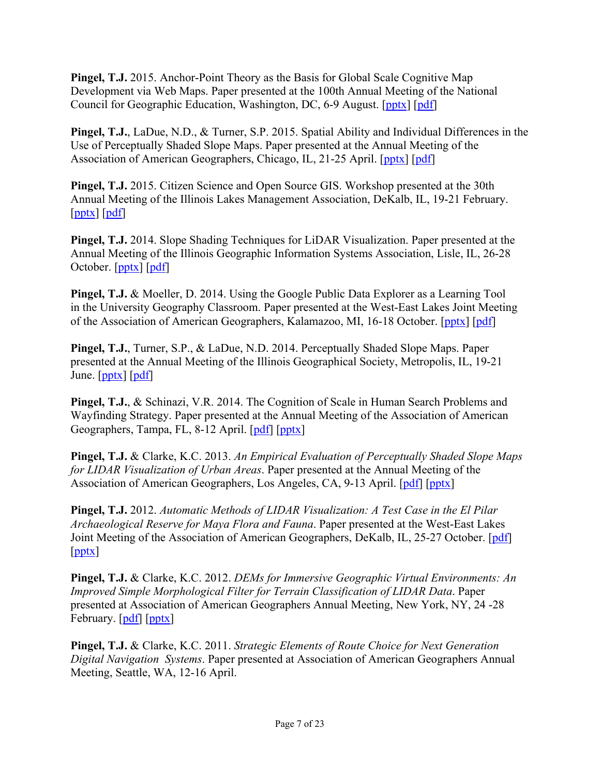**Pingel, T.J.** 2015. Anchor-Point Theory as the Basis for Global Scale Cognitive Map Development via Web Maps. Paper presented at the 100th Annual Meeting of the National Council for Geographic Education, Washington, DC, 6-9 August. [pptx] [pdf]

**Pingel, T.J.**, LaDue, N.D., & Turner, S.P. 2015. Spatial Ability and Individual Differences in the Use of Perceptually Shaded Slope Maps. Paper presented at the Annual Meeting of the Association of American Geographers, Chicago, IL, 21-25 April. [pptx] [pdf]

**Pingel, T.J.** 2015. Citizen Science and Open Source GIS. Workshop presented at the 30th Annual Meeting of the Illinois Lakes Management Association, DeKalb, IL, 19-21 February.  $[pptx]$   $[pdf]$ 

**Pingel, T.J.** 2014. Slope Shading Techniques for LiDAR Visualization. Paper presented at the Annual Meeting of the Illinois Geographic Information Systems Association, Lisle, IL, 26-28 October. [pptx] [pdf]

**Pingel, T.J.** & Moeller, D. 2014. Using the Google Public Data Explorer as a Learning Tool in the University Geography Classroom. Paper presented at the West-East Lakes Joint Meeting of the Association of American Geographers, Kalamazoo, MI, 16-18 October. [pptx] [pdf]

**Pingel, T.J.**, Turner, S.P., & LaDue, N.D. 2014. Perceptually Shaded Slope Maps. Paper presented at the Annual Meeting of the Illinois Geographical Society, Metropolis, IL, 19-21 June.  $[pptx]$   $[pdf]$ 

**Pingel, T.J.**, & Schinazi, V.R. 2014. The Cognition of Scale in Human Search Problems and Wayfinding Strategy. Paper presented at the Annual Meeting of the Association of American Geographers, Tampa, FL, 8-12 April. [pdf] [pptx]

**Pingel, T.J.** & Clarke, K.C. 2013. *An Empirical Evaluation of Perceptually Shaded Slope Maps for LIDAR Visualization of Urban Areas*. Paper presented at the Annual Meeting of the Association of American Geographers, Los Angeles, CA, 9-13 April. [pdf] [pptx]

**Pingel, T.J.** 2012. *Automatic Methods of LIDAR Visualization: A Test Case in the El Pilar Archaeological Reserve for Maya Flora and Fauna*. Paper presented at the West-East Lakes Joint Meeting of the Association of American Geographers, DeKalb, IL, 25-27 October. [pdf] [pptx]

**Pingel, T.J.** & Clarke, K.C. 2012. *DEMs for Immersive Geographic Virtual Environments: An Improved Simple Morphological Filter for Terrain Classification of LIDAR Data*. Paper presented at Association of American Geographers Annual Meeting, New York, NY, 24 -28 February. [pdf] [pptx]

**Pingel, T.J.** & Clarke, K.C. 2011. *Strategic Elements of Route Choice for Next Generation Digital Navigation Systems*. Paper presented at Association of American Geographers Annual Meeting, Seattle, WA, 12-16 April.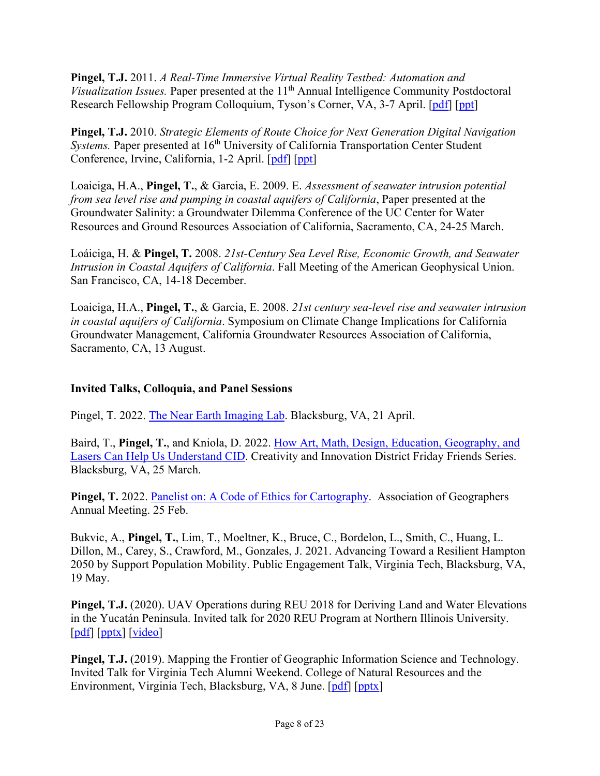**Pingel, T.J.** 2011. *A Real-Time Immersive Virtual Reality Testbed: Automation and Visualization Issues.* Paper presented at the 11<sup>th</sup> Annual Intelligence Community Postdoctoral Research Fellowship Program Colloquium, Tyson's Corner, VA, 3-7 April. [pdf] [ppt]

**Pingel, T.J.** 2010. *Strategic Elements of Route Choice for Next Generation Digital Navigation Systems*. Paper presented at 16<sup>th</sup> University of California Transportation Center Student Conference, Irvine, California, 1-2 April. [pdf] [ppt]

Loaiciga, H.A., **Pingel, T.**, & Garcia, E. 2009. E. *Assessment of seawater intrusion potential from sea level rise and pumping in coastal aquifers of California*, Paper presented at the Groundwater Salinity: a Groundwater Dilemma Conference of the UC Center for Water Resources and Ground Resources Association of California, Sacramento, CA, 24-25 March.

Loáiciga, H. & **Pingel, T.** 2008. *21st-Century Sea Level Rise, Economic Growth, and Seawater Intrusion in Coastal Aquifers of California*. Fall Meeting of the American Geophysical Union. San Francisco, CA, 14-18 December.

Loaiciga, H.A., **Pingel, T.**, & Garcia, E. 2008. *21st century sea-level rise and seawater intrusion in coastal aquifers of California*. Symposium on Climate Change Implications for California Groundwater Management, California Groundwater Resources Association of California, Sacramento, CA, 13 August.

### **Invited Talks, Colloquia, and Panel Sessions**

Pingel, T. 2022. The Near Earth Imaging Lab. Blacksburg, VA, 21 April.

Baird, T., **Pingel, T.**, and Kniola, D. 2022. How Art, Math, Design, Education, Geography, and Lasers Can Help Us Understand CID. Creativity and Innovation District Friday Friends Series. Blacksburg, VA, 25 March.

**Pingel, T.** 2022. Panelist on: A Code of Ethics for Cartography. Association of Geographers Annual Meeting. 25 Feb.

Bukvic, A., **Pingel, T.**, Lim, T., Moeltner, K., Bruce, C., Bordelon, L., Smith, C., Huang, L. Dillon, M., Carey, S., Crawford, M., Gonzales, J. 2021. Advancing Toward a Resilient Hampton 2050 by Support Population Mobility. Public Engagement Talk, Virginia Tech, Blacksburg, VA, 19 May.

**Pingel, T.J.** (2020). UAV Operations during REU 2018 for Deriving Land and Water Elevations in the Yucatán Peninsula. Invited talk for 2020 REU Program at Northern Illinois University. [pdf] [pptx] [video]

**Pingel, T.J.** (2019). Mapping the Frontier of Geographic Information Science and Technology. Invited Talk for Virginia Tech Alumni Weekend. College of Natural Resources and the Environment, Virginia Tech, Blacksburg, VA, 8 June. [pdf] [pptx]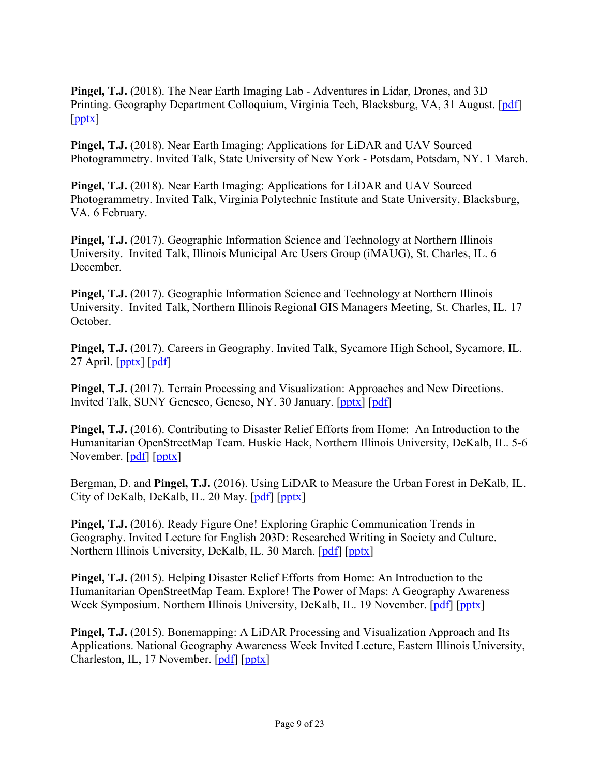**Pingel, T.J.** (2018). The Near Earth Imaging Lab - Adventures in Lidar, Drones, and 3D Printing. Geography Department Colloquium, Virginia Tech, Blacksburg, VA, 31 August. [pdf] [pptx]

**Pingel, T.J.** (2018). Near Earth Imaging: Applications for LiDAR and UAV Sourced Photogrammetry. Invited Talk, State University of New York - Potsdam, Potsdam, NY. 1 March.

**Pingel, T.J.** (2018). Near Earth Imaging: Applications for LiDAR and UAV Sourced Photogrammetry. Invited Talk, Virginia Polytechnic Institute and State University, Blacksburg, VA. 6 February.

**Pingel, T.J.** (2017). Geographic Information Science and Technology at Northern Illinois University. Invited Talk, Illinois Municipal Arc Users Group (iMAUG), St. Charles, IL. 6 December.

**Pingel, T.J.** (2017). Geographic Information Science and Technology at Northern Illinois University. Invited Talk, Northern Illinois Regional GIS Managers Meeting, St. Charles, IL. 17 October.

**Pingel, T.J.** (2017). Careers in Geography. Invited Talk, Sycamore High School, Sycamore, IL. 27 April. [pptx] [pdf]

**Pingel, T.J.** (2017). Terrain Processing and Visualization: Approaches and New Directions. Invited Talk, SUNY Geneseo, Geneso, NY. 30 January. [pptx] [pdf]

**Pingel, T.J.** (2016). Contributing to Disaster Relief Efforts from Home: An Introduction to the Humanitarian OpenStreetMap Team. Huskie Hack, Northern Illinois University, DeKalb, IL. 5-6 November. [pdf] [pptx]

Bergman, D. and **Pingel, T.J.** (2016). Using LiDAR to Measure the Urban Forest in DeKalb, IL. City of DeKalb, DeKalb, IL. 20 May. [pdf] [pptx]

**Pingel, T.J.** (2016). Ready Figure One! Exploring Graphic Communication Trends in Geography. Invited Lecture for English 203D: Researched Writing in Society and Culture. Northern Illinois University, DeKalb, IL. 30 March. [pdf] [pptx]

**Pingel, T.J.** (2015). Helping Disaster Relief Efforts from Home: An Introduction to the Humanitarian OpenStreetMap Team. Explore! The Power of Maps: A Geography Awareness Week Symposium. Northern Illinois University, DeKalb, IL. 19 November. [pdf] [pptx]

**Pingel, T.J.** (2015). Bonemapping: A LiDAR Processing and Visualization Approach and Its Applications. National Geography Awareness Week Invited Lecture, Eastern Illinois University, Charleston, IL, 17 November. [pdf] [pptx]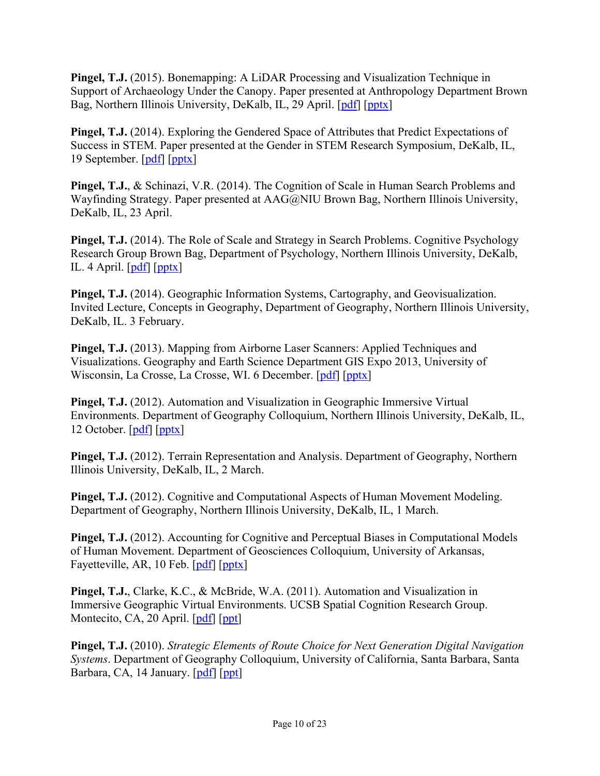**Pingel, T.J.** (2015). Bonemapping: A LiDAR Processing and Visualization Technique in Support of Archaeology Under the Canopy. Paper presented at Anthropology Department Brown Bag, Northern Illinois University, DeKalb, IL, 29 April. [pdf] [pptx]

**Pingel, T.J.** (2014). Exploring the Gendered Space of Attributes that Predict Expectations of Success in STEM. Paper presented at the Gender in STEM Research Symposium, DeKalb, IL, 19 September. [pdf] [pptx]

**Pingel, T.J.**, & Schinazi, V.R. (2014). The Cognition of Scale in Human Search Problems and Wayfinding Strategy. Paper presented at AAG@NIU Brown Bag, Northern Illinois University, DeKalb, IL, 23 April.

**Pingel, T.J.** (2014). The Role of Scale and Strategy in Search Problems. Cognitive Psychology Research Group Brown Bag, Department of Psychology, Northern Illinois University, DeKalb, IL. 4 April.  $\lceil \underline{\text{pdf}} \rceil \lceil \underline{\text{pptX}} \rceil$ 

**Pingel, T.J.** (2014). Geographic Information Systems, Cartography, and Geovisualization. Invited Lecture, Concepts in Geography, Department of Geography, Northern Illinois University, DeKalb, IL. 3 February.

**Pingel, T.J.** (2013). Mapping from Airborne Laser Scanners: Applied Techniques and Visualizations. Geography and Earth Science Department GIS Expo 2013, University of Wisconsin, La Crosse, La Crosse, WI. 6 December. [pdf] [pptx]

**Pingel, T.J.** (2012). Automation and Visualization in Geographic Immersive Virtual Environments. Department of Geography Colloquium, Northern Illinois University, DeKalb, IL, 12 October. [pdf] [pptx]

**Pingel, T.J.** (2012). Terrain Representation and Analysis. Department of Geography, Northern Illinois University, DeKalb, IL, 2 March.

**Pingel, T.J.** (2012). Cognitive and Computational Aspects of Human Movement Modeling. Department of Geography, Northern Illinois University, DeKalb, IL, 1 March.

**Pingel, T.J.** (2012). Accounting for Cognitive and Perceptual Biases in Computational Models of Human Movement. Department of Geosciences Colloquium, University of Arkansas, Fayetteville, AR, 10 Feb. [pdf] [pptx]

**Pingel, T.J.**, Clarke, K.C., & McBride, W.A. (2011). Automation and Visualization in Immersive Geographic Virtual Environments. UCSB Spatial Cognition Research Group. Montecito, CA, 20 April. [pdf] [ppt]

**Pingel, T.J.** (2010). *Strategic Elements of Route Choice for Next Generation Digital Navigation Systems*. Department of Geography Colloquium, University of California, Santa Barbara, Santa Barbara, CA, 14 January. [pdf] [ppt]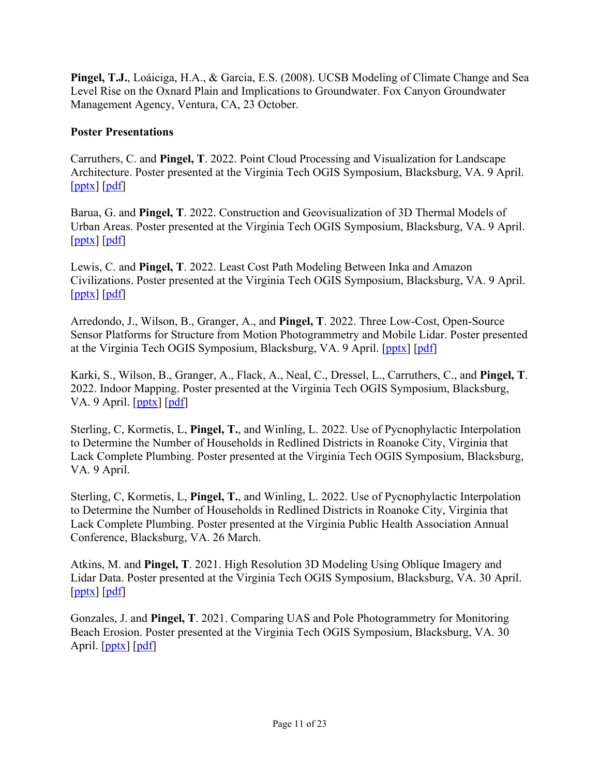**Pingel, T.J.**, Loáiciga, H.A., & Garcia, E.S. (2008). UCSB Modeling of Climate Change and Sea Level Rise on the Oxnard Plain and Implications to Groundwater. Fox Canyon Groundwater Management Agency, Ventura, CA, 23 October.

#### **Poster Presentations**

Carruthers, C. and **Pingel, T**. 2022. Point Cloud Processing and Visualization for Landscape Architecture. Poster presented at the Virginia Tech OGIS Symposium, Blacksburg, VA. 9 April. [pptx] [pdf]

Barua, G. and **Pingel, T**. 2022. Construction and Geovisualization of 3D Thermal Models of Urban Areas. Poster presented at the Virginia Tech OGIS Symposium, Blacksburg, VA. 9 April.  $[pptx]$   $[pdf]$ 

Lewis, C. and **Pingel, T**. 2022. Least Cost Path Modeling Between Inka and Amazon Civilizations. Poster presented at the Virginia Tech OGIS Symposium, Blacksburg, VA. 9 April. [pptx] [pdf]

Arredondo, J., Wilson, B., Granger, A., and **Pingel, T**. 2022. Three Low-Cost, Open-Source Sensor Platforms for Structure from Motion Photogrammetry and Mobile Lidar. Poster presented at the Virginia Tech OGIS Symposium, Blacksburg, VA. 9 April. [pptx] [pdf]

Karki, S., Wilson, B., Granger, A., Flack, A., Neal, C., Dressel, L., Carruthers, C., and **Pingel, T**. 2022. Indoor Mapping. Poster presented at the Virginia Tech OGIS Symposium, Blacksburg, VA. 9 April. [pptx] [pdf]

Sterling, C, Kormetis, L, **Pingel, T.**, and Winling, L. 2022. Use of Pycnophylactic Interpolation to Determine the Number of Households in Redlined Districts in Roanoke City, Virginia that Lack Complete Plumbing. Poster presented at the Virginia Tech OGIS Symposium, Blacksburg, VA. 9 April.

Sterling, C, Kormetis, L, **Pingel, T.**, and Winling, L. 2022. Use of Pycnophylactic Interpolation to Determine the Number of Households in Redlined Districts in Roanoke City, Virginia that Lack Complete Plumbing. Poster presented at the Virginia Public Health Association Annual Conference, Blacksburg, VA. 26 March.

Atkins, M. and **Pingel, T**. 2021. High Resolution 3D Modeling Using Oblique Imagery and Lidar Data. Poster presented at the Virginia Tech OGIS Symposium, Blacksburg, VA. 30 April.  $[pptx]$   $[pdf]$ 

Gonzales, J. and **Pingel, T**. 2021. Comparing UAS and Pole Photogrammetry for Monitoring Beach Erosion. Poster presented at the Virginia Tech OGIS Symposium, Blacksburg, VA. 30 April. [pptx] [pdf]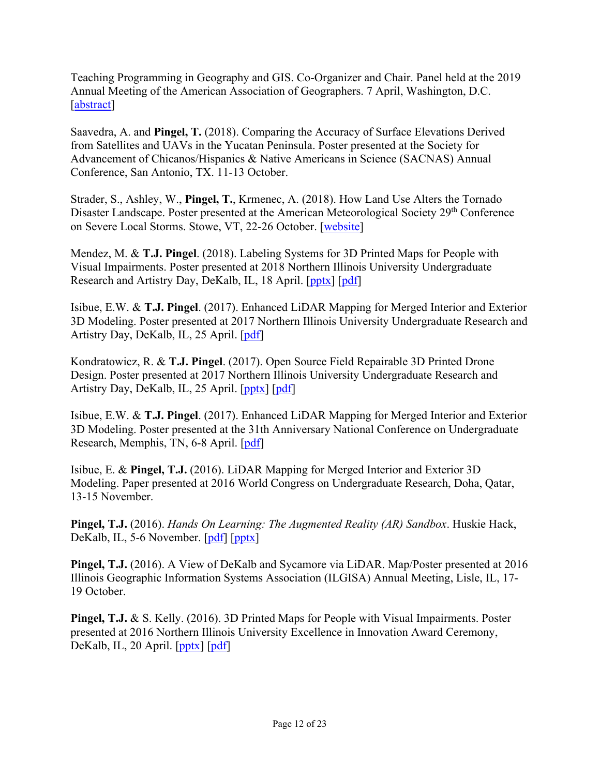Teaching Programming in Geography and GIS. Co-Organizer and Chair. Panel held at the 2019 Annual Meeting of the American Association of Geographers. 7 April, Washington, D.C. [abstract]

Saavedra, A. and **Pingel, T.** (2018). Comparing the Accuracy of Surface Elevations Derived from Satellites and UAVs in the Yucatan Peninsula. Poster presented at the Society for Advancement of Chicanos/Hispanics & Native Americans in Science (SACNAS) Annual Conference, San Antonio, TX. 11-13 October.

Strader, S., Ashley, W., **Pingel, T.**, Krmenec, A. (2018). How Land Use Alters the Tornado Disaster Landscape. Poster presented at the American Meteorological Society 29<sup>th</sup> Conference on Severe Local Storms. Stowe, VT, 22-26 October. [website]

Mendez, M. & **T.J. Pingel**. (2018). Labeling Systems for 3D Printed Maps for People with Visual Impairments. Poster presented at 2018 Northern Illinois University Undergraduate Research and Artistry Day, DeKalb, IL, 18 April. [pptx] [pdf]

Isibue, E.W. & **T.J. Pingel**. (2017). Enhanced LiDAR Mapping for Merged Interior and Exterior 3D Modeling. Poster presented at 2017 Northern Illinois University Undergraduate Research and Artistry Day, DeKalb, IL, 25 April. [pdf]

Kondratowicz, R. & **T.J. Pingel**. (2017). Open Source Field Repairable 3D Printed Drone Design. Poster presented at 2017 Northern Illinois University Undergraduate Research and Artistry Day, DeKalb, IL, 25 April. [pptx] [pdf]

Isibue, E.W. & **T.J. Pingel**. (2017). Enhanced LiDAR Mapping for Merged Interior and Exterior 3D Modeling. Poster presented at the 31th Anniversary National Conference on Undergraduate Research, Memphis, TN, 6-8 April. [pdf]

Isibue, E. & **Pingel, T.J.** (2016). LiDAR Mapping for Merged Interior and Exterior 3D Modeling. Paper presented at 2016 World Congress on Undergraduate Research, Doha, Qatar, 13-15 November.

**Pingel, T.J.** (2016). *Hands On Learning: The Augmented Reality (AR) Sandbox*. Huskie Hack, DeKalb, IL, 5-6 November. [pdf] [pptx]

**Pingel, T.J.** (2016). A View of DeKalb and Sycamore via LiDAR. Map/Poster presented at 2016 Illinois Geographic Information Systems Association (ILGISA) Annual Meeting, Lisle, IL, 17- 19 October.

**Pingel, T.J.** & S. Kelly. (2016). 3D Printed Maps for People with Visual Impairments. Poster presented at 2016 Northern Illinois University Excellence in Innovation Award Ceremony, DeKalb, IL, 20 April. [pptx] [pdf]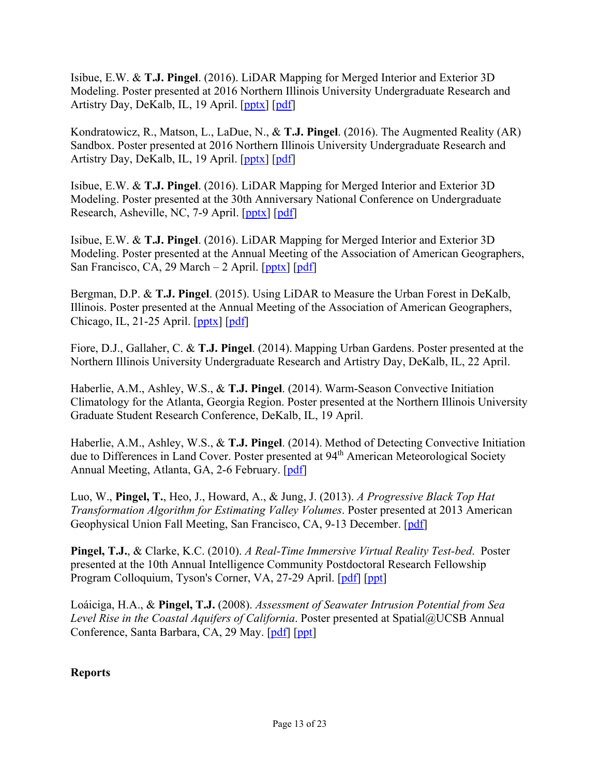Isibue, E.W. & **T.J. Pingel**. (2016). LiDAR Mapping for Merged Interior and Exterior 3D Modeling. Poster presented at 2016 Northern Illinois University Undergraduate Research and Artistry Day, DeKalb, IL, 19 April. [pptx] [pdf]

Kondratowicz, R., Matson, L., LaDue, N., & **T.J. Pingel**. (2016). The Augmented Reality (AR) Sandbox. Poster presented at 2016 Northern Illinois University Undergraduate Research and Artistry Day, DeKalb, IL, 19 April. [pptx] [pdf]

Isibue, E.W. & **T.J. Pingel**. (2016). LiDAR Mapping for Merged Interior and Exterior 3D Modeling. Poster presented at the 30th Anniversary National Conference on Undergraduate Research, Asheville, NC, 7-9 April. [pptx] [pdf]

Isibue, E.W. & **T.J. Pingel**. (2016). LiDAR Mapping for Merged Interior and Exterior 3D Modeling. Poster presented at the Annual Meeting of the Association of American Geographers, San Francisco, CA, 29 March – 2 April.  $[pptx]$  [pdf]

Bergman, D.P. & **T.J. Pingel**. (2015). Using LiDAR to Measure the Urban Forest in DeKalb, Illinois. Poster presented at the Annual Meeting of the Association of American Geographers, Chicago, IL, 21-25 April. [pptx] [pdf]

Fiore, D.J., Gallaher, C. & **T.J. Pingel**. (2014). Mapping Urban Gardens. Poster presented at the Northern Illinois University Undergraduate Research and Artistry Day, DeKalb, IL, 22 April.

Haberlie, A.M., Ashley, W.S., & **T.J. Pingel**. (2014). Warm-Season Convective Initiation Climatology for the Atlanta, Georgia Region. Poster presented at the Northern Illinois University Graduate Student Research Conference, DeKalb, IL, 19 April.

Haberlie, A.M., Ashley, W.S., & **T.J. Pingel**. (2014). Method of Detecting Convective Initiation due to Differences in Land Cover. Poster presented at 94<sup>th</sup> American Meteorological Society Annual Meeting, Atlanta, GA, 2-6 February. [pdf]

Luo, W., **Pingel, T.**, Heo, J., Howard, A., & Jung, J. (2013). *A Progressive Black Top Hat Transformation Algorithm for Estimating Valley Volumes*. Poster presented at 2013 American Geophysical Union Fall Meeting, San Francisco, CA, 9-13 December. [pdf]

**Pingel, T.J.**, & Clarke, K.C. (2010). *A Real-Time Immersive Virtual Reality Test-bed*. Poster presented at the 10th Annual Intelligence Community Postdoctoral Research Fellowship Program Colloquium, Tyson's Corner, VA, 27-29 April. [pdf] [ppt]

Loáiciga, H.A., & **Pingel, T.J.** (2008). *Assessment of Seawater Intrusion Potential from Sea Level Rise in the Coastal Aquifers of California*. Poster presented at Spatial@UCSB Annual Conference, Santa Barbara, CA, 29 May. [pdf] [ppt]

**Reports**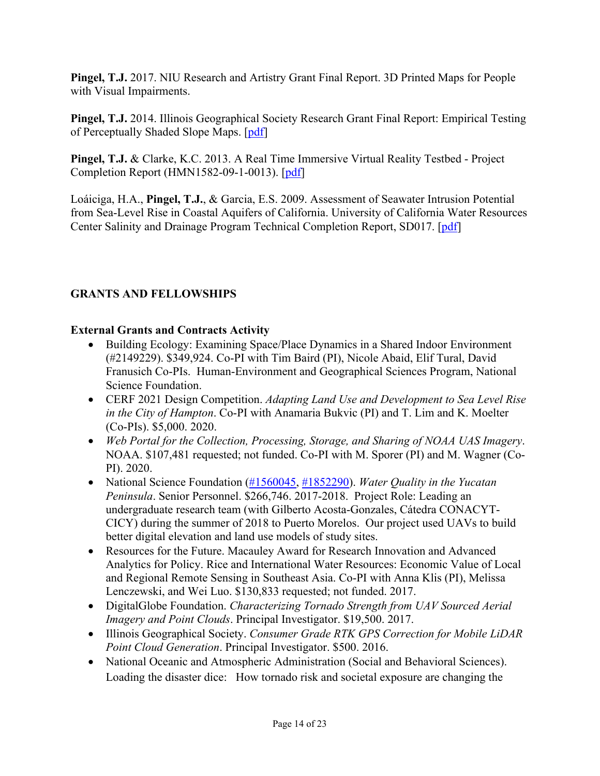**Pingel, T.J.** 2017. NIU Research and Artistry Grant Final Report. 3D Printed Maps for People with Visual Impairments.

**Pingel, T.J.** 2014. Illinois Geographical Society Research Grant Final Report: Empirical Testing of Perceptually Shaded Slope Maps. [pdf]

**Pingel, T.J.** & Clarke, K.C. 2013. A Real Time Immersive Virtual Reality Testbed - Project Completion Report (HMN1582-09-1-0013). [pdf]

Loáiciga, H.A., **Pingel, T.J.**, & Garcia, E.S. 2009. Assessment of Seawater Intrusion Potential from Sea-Level Rise in Coastal Aquifers of California. University of California Water Resources Center Salinity and Drainage Program Technical Completion Report, SD017. [pdf]

# **GRANTS AND FELLOWSHIPS**

# **External Grants and Contracts Activity**

- Building Ecology: Examining Space/Place Dynamics in a Shared Indoor Environment (#2149229). \$349,924. Co-PI with Tim Baird (PI), Nicole Abaid, Elif Tural, David Franusich Co-PIs. Human-Environment and Geographical Sciences Program, National Science Foundation.
- CERF 2021 Design Competition. *Adapting Land Use and Development to Sea Level Rise in the City of Hampton*. Co-PI with Anamaria Bukvic (PI) and T. Lim and K. Moelter (Co-PIs). \$5,000. 2020.
- *Web Portal for the Collection, Processing, Storage, and Sharing of NOAA UAS Imagery*. NOAA. \$107,481 requested; not funded. Co-PI with M. Sporer (PI) and M. Wagner (Co-PI). 2020.
- National Science Foundation (#1560045, #1852290). *Water Quality in the Yucatan Peninsula*. Senior Personnel. \$266,746. 2017-2018. Project Role: Leading an undergraduate research team (with Gilberto Acosta-Gonzales, Cátedra CONACYT-CICY) during the summer of 2018 to Puerto Morelos. Our project used UAVs to build better digital elevation and land use models of study sites.
- Resources for the Future. Macauley Award for Research Innovation and Advanced Analytics for Policy. Rice and International Water Resources: Economic Value of Local and Regional Remote Sensing in Southeast Asia. Co-PI with Anna Klis (PI), Melissa Lenczewski, and Wei Luo. \$130,833 requested; not funded. 2017.
- DigitalGlobe Foundation. *Characterizing Tornado Strength from UAV Sourced Aerial Imagery and Point Clouds*. Principal Investigator. \$19,500. 2017.
- Illinois Geographical Society. *Consumer Grade RTK GPS Correction for Mobile LiDAR Point Cloud Generation*. Principal Investigator. \$500. 2016.
- National Oceanic and Atmospheric Administration (Social and Behavioral Sciences). Loading the disaster dice: How tornado risk and societal exposure are changing the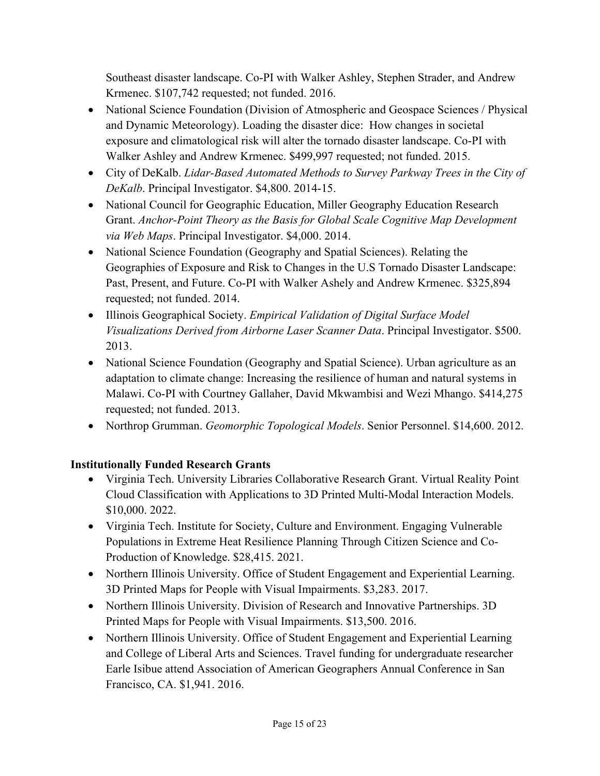Southeast disaster landscape. Co-PI with Walker Ashley, Stephen Strader, and Andrew Krmenec. \$107,742 requested; not funded. 2016.

- National Science Foundation (Division of Atmospheric and Geospace Sciences / Physical and Dynamic Meteorology). Loading the disaster dice: How changes in societal exposure and climatological risk will alter the tornado disaster landscape. Co-PI with Walker Ashley and Andrew Krmenec. \$499,997 requested; not funded. 2015.
- City of DeKalb. *Lidar-Based Automated Methods to Survey Parkway Trees in the City of DeKalb*. Principal Investigator. \$4,800. 2014-15.
- National Council for Geographic Education, Miller Geography Education Research Grant. *Anchor-Point Theory as the Basis for Global Scale Cognitive Map Development via Web Maps*. Principal Investigator. \$4,000. 2014.
- National Science Foundation (Geography and Spatial Sciences). Relating the Geographies of Exposure and Risk to Changes in the U.S Tornado Disaster Landscape: Past, Present, and Future. Co-PI with Walker Ashely and Andrew Krmenec. \$325,894 requested; not funded. 2014.
- Illinois Geographical Society. *Empirical Validation of Digital Surface Model Visualizations Derived from Airborne Laser Scanner Data*. Principal Investigator. \$500. 2013.
- National Science Foundation (Geography and Spatial Science). Urban agriculture as an adaptation to climate change: Increasing the resilience of human and natural systems in Malawi. Co-PI with Courtney Gallaher, David Mkwambisi and Wezi Mhango. \$414,275 requested; not funded. 2013.
- Northrop Grumman. *Geomorphic Topological Models*. Senior Personnel. \$14,600. 2012.

# **Institutionally Funded Research Grants**

- Virginia Tech. University Libraries Collaborative Research Grant. Virtual Reality Point Cloud Classification with Applications to 3D Printed Multi-Modal Interaction Models. \$10,000. 2022.
- Virginia Tech. Institute for Society, Culture and Environment. Engaging Vulnerable Populations in Extreme Heat Resilience Planning Through Citizen Science and Co-Production of Knowledge. \$28,415. 2021.
- Northern Illinois University. Office of Student Engagement and Experiential Learning. 3D Printed Maps for People with Visual Impairments. \$3,283. 2017.
- Northern Illinois University. Division of Research and Innovative Partnerships. 3D Printed Maps for People with Visual Impairments. \$13,500. 2016.
- Northern Illinois University. Office of Student Engagement and Experiential Learning and College of Liberal Arts and Sciences. Travel funding for undergraduate researcher Earle Isibue attend Association of American Geographers Annual Conference in San Francisco, CA. \$1,941. 2016.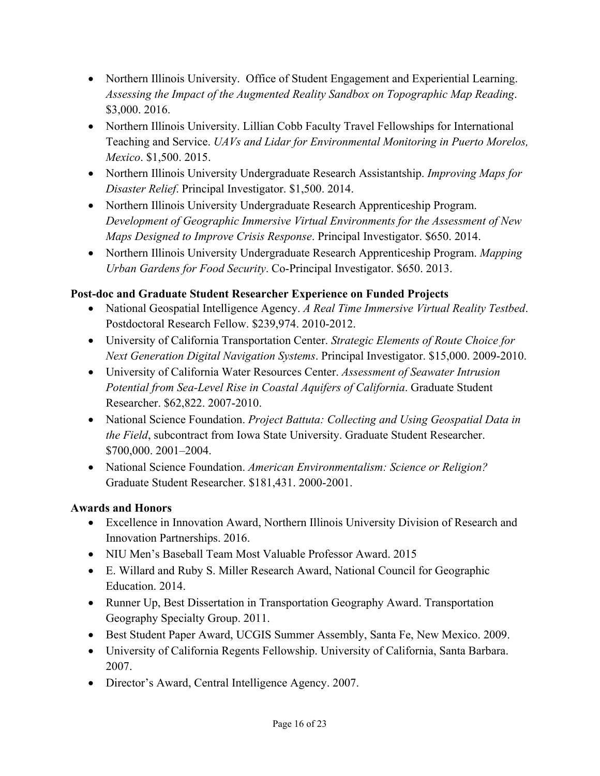- Northern Illinois University. Office of Student Engagement and Experiential Learning. *Assessing the Impact of the Augmented Reality Sandbox on Topographic Map Reading*. \$3,000. 2016.
- Northern Illinois University. Lillian Cobb Faculty Travel Fellowships for International Teaching and Service. *UAVs and Lidar for Environmental Monitoring in Puerto Morelos, Mexico*. \$1,500. 2015.
- Northern Illinois University Undergraduate Research Assistantship. *Improving Maps for Disaster Relief*. Principal Investigator. \$1,500. 2014.
- Northern Illinois University Undergraduate Research Apprenticeship Program. *Development of Geographic Immersive Virtual Environments for the Assessment of New Maps Designed to Improve Crisis Response*. Principal Investigator. \$650. 2014.
- Northern Illinois University Undergraduate Research Apprenticeship Program. *Mapping Urban Gardens for Food Security*. Co-Principal Investigator. \$650. 2013.

# **Post-doc and Graduate Student Researcher Experience on Funded Projects**

- National Geospatial Intelligence Agency. *A Real Time Immersive Virtual Reality Testbed*. Postdoctoral Research Fellow. \$239,974. 2010-2012.
- University of California Transportation Center. *Strategic Elements of Route Choice for Next Generation Digital Navigation Systems*. Principal Investigator. \$15,000. 2009-2010.
- University of California Water Resources Center. *Assessment of Seawater Intrusion Potential from Sea-Level Rise in Coastal Aquifers of California*. Graduate Student Researcher. \$62,822. 2007-2010.
- National Science Foundation. *Project Battuta: Collecting and Using Geospatial Data in the Field*, subcontract from Iowa State University. Graduate Student Researcher. \$700,000. 2001–2004.
- National Science Foundation. *American Environmentalism: Science or Religion?* Graduate Student Researcher. \$181,431. 2000-2001.

## **Awards and Honors**

- Excellence in Innovation Award, Northern Illinois University Division of Research and Innovation Partnerships. 2016.
- NIU Men's Baseball Team Most Valuable Professor Award. 2015
- E. Willard and Ruby S. Miller Research Award, National Council for Geographic Education. 2014.
- Runner Up, Best Dissertation in Transportation Geography Award. Transportation Geography Specialty Group. 2011.
- Best Student Paper Award, UCGIS Summer Assembly, Santa Fe, New Mexico. 2009.
- University of California Regents Fellowship. University of California, Santa Barbara. 2007.
- Director's Award, Central Intelligence Agency. 2007.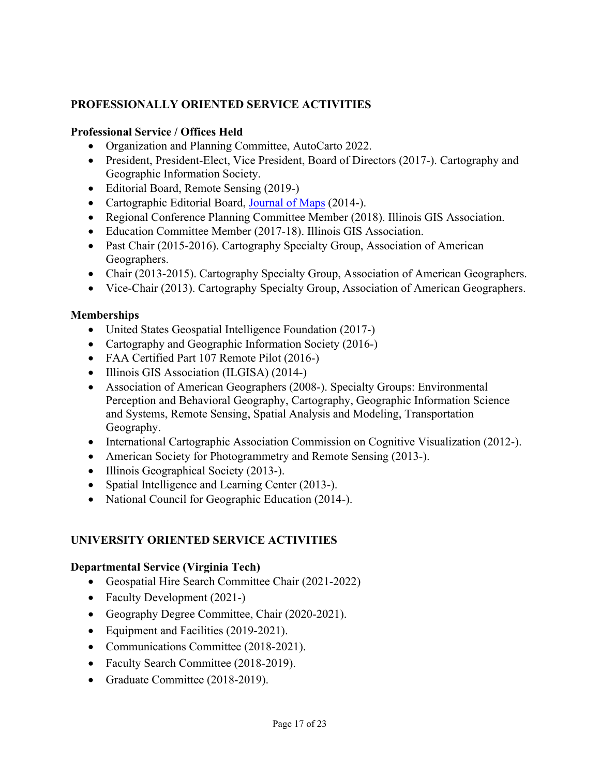# **PROFESSIONALLY ORIENTED SERVICE ACTIVITIES**

#### **Professional Service / Offices Held**

- Organization and Planning Committee, AutoCarto 2022.
- President, President-Elect, Vice President, Board of Directors (2017-). Cartography and Geographic Information Society.
- Editorial Board, Remote Sensing (2019-)
- Cartographic Editorial Board, Journal of Maps (2014-).
- Regional Conference Planning Committee Member (2018). Illinois GIS Association.
- Education Committee Member (2017-18). Illinois GIS Association.
- Past Chair (2015-2016). Cartography Specialty Group, Association of American Geographers.
- Chair (2013-2015). Cartography Specialty Group, Association of American Geographers.
- Vice-Chair (2013). Cartography Specialty Group, Association of American Geographers.

#### **Memberships**

- United States Geospatial Intelligence Foundation (2017-)
- Cartography and Geographic Information Society (2016-)
- FAA Certified Part 107 Remote Pilot (2016-)
- Illinois GIS Association (ILGISA) (2014-)
- Association of American Geographers (2008-). Specialty Groups: Environmental Perception and Behavioral Geography, Cartography, Geographic Information Science and Systems, Remote Sensing, Spatial Analysis and Modeling, Transportation Geography.
- International Cartographic Association Commission on Cognitive Visualization (2012-).
- American Society for Photogrammetry and Remote Sensing (2013-).
- Illinois Geographical Society (2013-).
- Spatial Intelligence and Learning Center (2013-).
- National Council for Geographic Education (2014-).

#### **UNIVERSITY ORIENTED SERVICE ACTIVITIES**

#### **Departmental Service (Virginia Tech)**

- Geospatial Hire Search Committee Chair (2021-2022)
- Faculty Development (2021-)
- Geography Degree Committee, Chair (2020-2021).
- Equipment and Facilities (2019-2021).
- Communications Committee (2018-2021).
- Faculty Search Committee (2018-2019).
- Graduate Committee (2018-2019).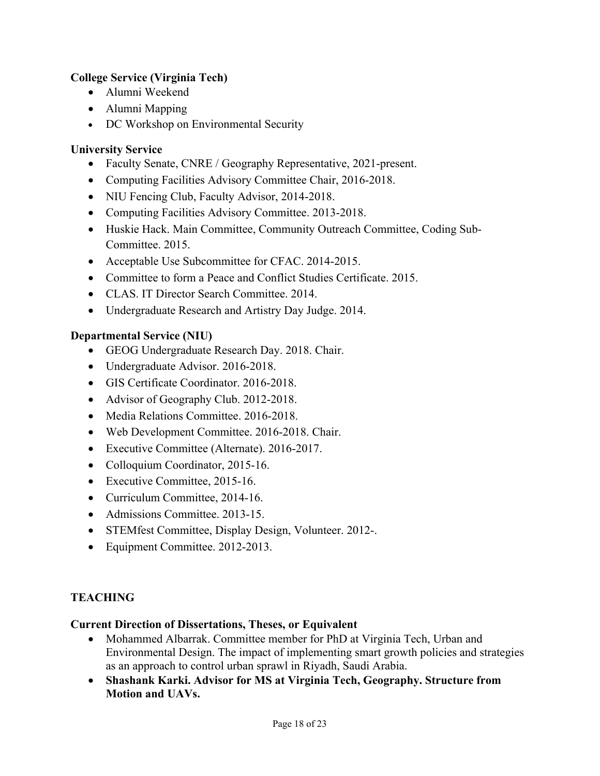## **College Service (Virginia Tech)**

- Alumni Weekend
- Alumni Mapping
- DC Workshop on Environmental Security

# **University Service**

- Faculty Senate, CNRE / Geography Representative, 2021-present.
- Computing Facilities Advisory Committee Chair, 2016-2018.
- NIU Fencing Club, Faculty Advisor, 2014-2018.
- Computing Facilities Advisory Committee. 2013-2018.
- Huskie Hack. Main Committee, Community Outreach Committee, Coding Sub-Committee. 2015.
- Acceptable Use Subcommittee for CFAC. 2014-2015.
- Committee to form a Peace and Conflict Studies Certificate. 2015.
- CLAS. IT Director Search Committee. 2014.
- Undergraduate Research and Artistry Day Judge. 2014.

# **Departmental Service (NIU)**

- GEOG Undergraduate Research Day. 2018. Chair.
- Undergraduate Advisor. 2016-2018.
- GIS Certificate Coordinator. 2016-2018.
- Advisor of Geography Club. 2012-2018.
- Media Relations Committee. 2016-2018.
- Web Development Committee. 2016-2018. Chair.
- Executive Committee (Alternate). 2016-2017.
- Colloquium Coordinator, 2015-16.
- Executive Committee, 2015-16.
- Curriculum Committee, 2014-16.
- Admissions Committee. 2013-15.
- STEMfest Committee, Display Design, Volunteer. 2012-.
- Equipment Committee. 2012-2013.

## **TEACHING**

## **Current Direction of Dissertations, Theses, or Equivalent**

- Mohammed Albarrak. Committee member for PhD at Virginia Tech, Urban and Environmental Design. The impact of implementing smart growth policies and strategies as an approach to control urban sprawl in Riyadh, Saudi Arabia.
- **Shashank Karki. Advisor for MS at Virginia Tech, Geography. Structure from Motion and UAVs.**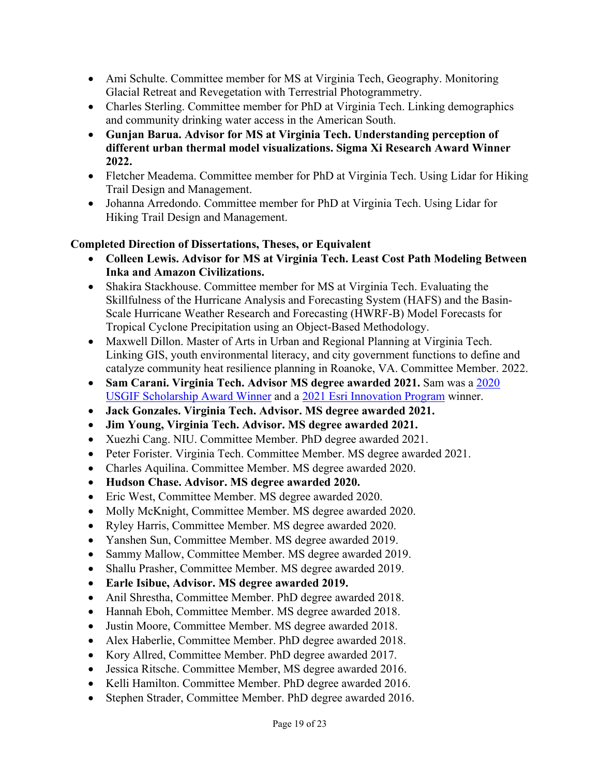- Ami Schulte. Committee member for MS at Virginia Tech, Geography. Monitoring Glacial Retreat and Revegetation with Terrestrial Photogrammetry.
- Charles Sterling. Committee member for PhD at Virginia Tech. Linking demographics and community drinking water access in the American South.
- **Gunjan Barua. Advisor for MS at Virginia Tech. Understanding perception of different urban thermal model visualizations. Sigma Xi Research Award Winner 2022.**
- Fletcher Meadema. Committee member for PhD at Virginia Tech. Using Lidar for Hiking Trail Design and Management.
- Johanna Arredondo. Committee member for PhD at Virginia Tech. Using Lidar for Hiking Trail Design and Management.

## **Completed Direction of Dissertations, Theses, or Equivalent**

- **Colleen Lewis. Advisor for MS at Virginia Tech. Least Cost Path Modeling Between Inka and Amazon Civilizations.**
- Shakira Stackhouse. Committee member for MS at Virginia Tech. Evaluating the Skillfulness of the Hurricane Analysis and Forecasting System (HAFS) and the Basin-Scale Hurricane Weather Research and Forecasting (HWRF-B) Model Forecasts for Tropical Cyclone Precipitation using an Object-Based Methodology.
- Maxwell Dillon. Master of Arts in Urban and Regional Planning at Virginia Tech. Linking GIS, youth environmental literacy, and city government functions to define and catalyze community heat resilience planning in Roanoke, VA. Committee Member. 2022.
- **Sam Carani. Virginia Tech. Advisor MS degree awarded 2021.** Sam was a 2020 USGIF Scholarship Award Winner and a 2021 Esri Innovation Program winner.
- **Jack Gonzales. Virginia Tech. Advisor. MS degree awarded 2021.**
- **Jim Young, Virginia Tech. Advisor. MS degree awarded 2021.**
- Xuezhi Cang. NIU. Committee Member. PhD degree awarded 2021.
- Peter Forister. Virginia Tech. Committee Member. MS degree awarded 2021.
- Charles Aquilina. Committee Member. MS degree awarded 2020.
- **Hudson Chase. Advisor. MS degree awarded 2020.**
- Eric West, Committee Member. MS degree awarded 2020.
- Molly McKnight, Committee Member. MS degree awarded 2020.
- Ryley Harris, Committee Member. MS degree awarded 2020.
- Yanshen Sun, Committee Member. MS degree awarded 2019.
- Sammy Mallow, Committee Member. MS degree awarded 2019.
- Shallu Prasher, Committee Member. MS degree awarded 2019.
- **Earle Isibue, Advisor. MS degree awarded 2019.**
- Anil Shrestha, Committee Member. PhD degree awarded 2018.
- Hannah Eboh, Committee Member. MS degree awarded 2018.
- Justin Moore, Committee Member. MS degree awarded 2018.
- Alex Haberlie, Committee Member. PhD degree awarded 2018.
- Kory Allred, Committee Member. PhD degree awarded 2017.
- Jessica Ritsche. Committee Member, MS degree awarded 2016.
- Kelli Hamilton. Committee Member. PhD degree awarded 2016.
- Stephen Strader, Committee Member. PhD degree awarded 2016.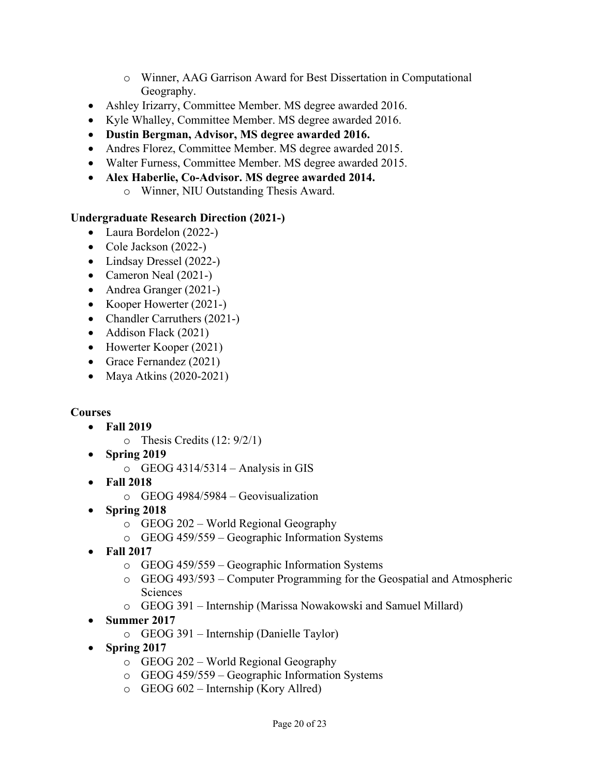- o Winner, AAG Garrison Award for Best Dissertation in Computational Geography.
- Ashley Irizarry, Committee Member. MS degree awarded 2016.
- Kyle Whalley, Committee Member. MS degree awarded 2016.
- **Dustin Bergman, Advisor, MS degree awarded 2016.**
- Andres Florez, Committee Member. MS degree awarded 2015.
- Walter Furness, Committee Member. MS degree awarded 2015.
- **Alex Haberlie, Co-Advisor. MS degree awarded 2014.** 
	- o Winner, NIU Outstanding Thesis Award.

# **Undergraduate Research Direction (2021-)**

- Laura Bordelon (2022-)
- Cole Jackson (2022-)
- Lindsay Dressel (2022-)
- Cameron Neal (2021-)
- Andrea Granger (2021-)
- Kooper Howerter (2021-)
- Chandler Carruthers (2021-)
- Addison Flack (2021)
- Howerter Kooper (2021)
- Grace Fernandez (2021)
- Maya Atkins (2020-2021)

# **Courses**

- **Fall 2019** 
	- o Thesis Credits (12: 9/2/1)
- **Spring 2019** 
	- o GEOG 4314/5314 Analysis in GIS
- **Fall 2018** 
	- o GEOG 4984/5984 Geovisualization
- **Spring 2018** 
	- o GEOG 202 World Regional Geography
	- o GEOG 459/559 Geographic Information Systems
- **Fall 2017** 
	- o GEOG 459/559 Geographic Information Systems
	- o GEOG 493/593 Computer Programming for the Geospatial and Atmospheric Sciences
	- o GEOG 391 Internship (Marissa Nowakowski and Samuel Millard)
- **Summer 2017** 
	- o GEOG 391 Internship (Danielle Taylor)
- **Spring 2017** 
	- o GEOG 202 World Regional Geography
	- o GEOG 459/559 Geographic Information Systems
	- o GEOG 602 Internship (Kory Allred)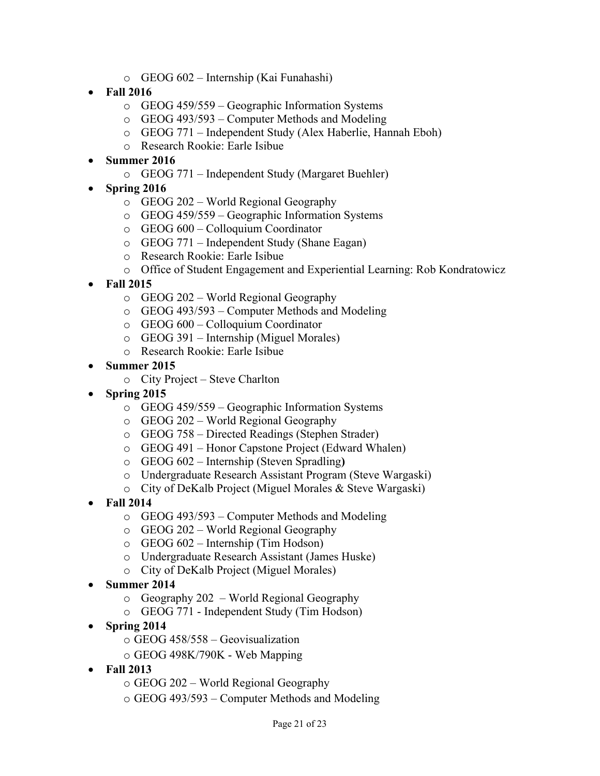- o GEOG 602 Internship (Kai Funahashi)
- **Fall 2016** 
	- o GEOG 459/559 Geographic Information Systems
	- o GEOG 493/593 Computer Methods and Modeling
	- o GEOG 771 Independent Study (Alex Haberlie, Hannah Eboh)
	- o Research Rookie: Earle Isibue
- **Summer 2016** 
	- o GEOG 771 Independent Study (Margaret Buehler)
- **Spring 2016** 
	- o GEOG 202 World Regional Geography
	- o GEOG 459/559 Geographic Information Systems
	- o GEOG 600 Colloquium Coordinator
	- o GEOG 771 Independent Study (Shane Eagan)
	- o Research Rookie: Earle Isibue
	- o Office of Student Engagement and Experiential Learning: Rob Kondratowicz
- **Fall 2015** 
	- o GEOG 202 World Regional Geography
	- o GEOG 493/593 Computer Methods and Modeling
	- o GEOG 600 Colloquium Coordinator
	- o GEOG 391 Internship (Miguel Morales)
	- o Research Rookie: Earle Isibue
- **Summer 2015** 
	- o City Project Steve Charlton
- **Spring 2015** 
	- o GEOG 459/559 Geographic Information Systems
	- o GEOG 202 World Regional Geography
	- o GEOG 758 Directed Readings (Stephen Strader)
	- o GEOG 491 Honor Capstone Project (Edward Whalen)
	- o GEOG 602 Internship (Steven Spradling**)**
	- o Undergraduate Research Assistant Program (Steve Wargaski)
	- o City of DeKalb Project (Miguel Morales & Steve Wargaski)
- **Fall 2014** 
	- o GEOG 493/593 Computer Methods and Modeling
	- o GEOG 202 World Regional Geography
	- o GEOG 602 Internship (Tim Hodson)
	- o Undergraduate Research Assistant (James Huske)
	- o City of DeKalb Project (Miguel Morales)
- **Summer 2014**
	- o Geography 202 World Regional Geography
	- o GEOG 771 Independent Study (Tim Hodson)
- **Spring 2014** 
	- o GEOG 458/558 Geovisualization
	- o GEOG 498K/790K Web Mapping
- **Fall 2013** 
	- o GEOG 202 World Regional Geography
	- o GEOG 493/593 Computer Methods and Modeling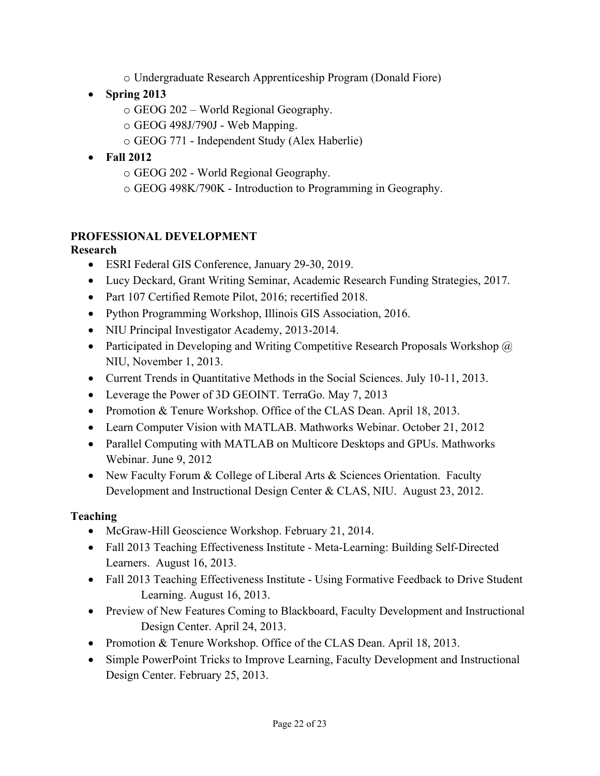- o Undergraduate Research Apprenticeship Program (Donald Fiore)
- **Spring 2013** 
	- o GEOG 202 World Regional Geography.
	- o GEOG 498J/790J Web Mapping.
	- o GEOG 771 Independent Study (Alex Haberlie)
- **Fall 2012** 
	- o GEOG 202 World Regional Geography.
	- o GEOG 498K/790K Introduction to Programming in Geography.

# **PROFESSIONAL DEVELOPMENT**

## **Research**

- ESRI Federal GIS Conference, January 29-30, 2019.
- Lucy Deckard, Grant Writing Seminar, Academic Research Funding Strategies, 2017.
- Part 107 Certified Remote Pilot, 2016; recertified 2018.
- Python Programming Workshop, Illinois GIS Association, 2016.
- NIU Principal Investigator Academy, 2013-2014.
- Participated in Developing and Writing Competitive Research Proposals Workshop  $\omega$ NIU, November 1, 2013.
- Current Trends in Quantitative Methods in the Social Sciences. July 10-11, 2013.
- Leverage the Power of 3D GEOINT. TerraGo. May 7, 2013
- Promotion & Tenure Workshop. Office of the CLAS Dean. April 18, 2013.
- Learn Computer Vision with MATLAB. Mathworks Webinar. October 21, 2012
- Parallel Computing with MATLAB on Multicore Desktops and GPUs. Mathworks Webinar. June 9, 2012
- New Faculty Forum & College of Liberal Arts & Sciences Orientation. Faculty Development and Instructional Design Center & CLAS, NIU. August 23, 2012.

## **Teaching**

- McGraw-Hill Geoscience Workshop. February 21, 2014.
- Fall 2013 Teaching Effectiveness Institute Meta-Learning: Building Self-Directed Learners. August 16, 2013.
- Fall 2013 Teaching Effectiveness Institute Using Formative Feedback to Drive Student Learning. August 16, 2013.
- Preview of New Features Coming to Blackboard, Faculty Development and Instructional Design Center. April 24, 2013.
- Promotion & Tenure Workshop. Office of the CLAS Dean. April 18, 2013.
- Simple PowerPoint Tricks to Improve Learning, Faculty Development and Instructional Design Center. February 25, 2013.